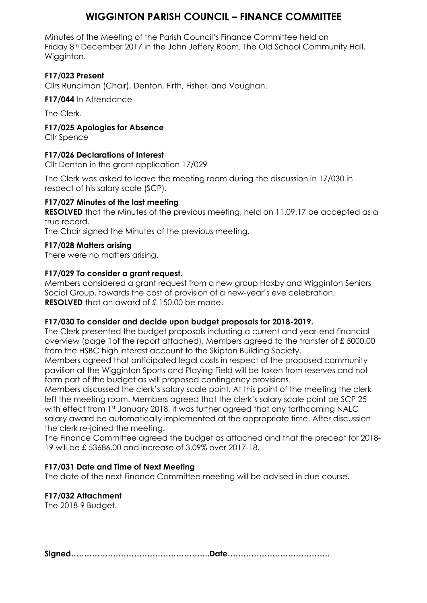## **WIGGINTON PARISH COUNCIL – FINANCE COMMITTEE**

Minutes of the Meeting of the Parish Council's Finance Committee held on Friday 8th December 2017 in the John Jeffery Room, The Old School Community Hall, Wigginton.

### **F17/023 Present**

Cllrs Runciman (Chair), Denton, Firth, Fisher, and Vaughan.

**F17/044** In Attendance

The Clerk.

**F17/025 Apologies for Absence**

Cllr Spence

### **F17/026 Declarations of Interest**

Cllr Denton in the grant application 17/029

The Clerk was asked to leave the meeting room during the discussion in 17/030 in respect of his salary scale (SCP).

### **F17/027 Minutes of the last meeting**

**RESOLVED** that the Minutes of the previous meeting, held on 11.09.17 be accepted as a true record.

The Chair signed the Minutes of the previous meeting.

### **F17/028 Matters arising**

There were no matters arising.

### **F17/029 To consider a grant request.**

Members considered a grant request from a new group Haxby and Wigginton Seniors Social Group, towards the cost of provision of a new-year's eve celebration. **RESOLVED** that an award of £ 150.00 be made.

### **F17/030 To consider and decide upon budget proposals for 2018-2019.**

The Clerk presented the budget proposals including a current and year-end financial overview (page 1of the report attached). Members agreed to the transfer of £ 5000.00 from the HSBC high interest account to the Skipton Building Society.

Members agreed that anticipated legal costs in respect of the proposed community pavilion at the Wigginton Sports and Playing Field will be taken from reserves and not form part of the budget as will proposed contingency provisions.

Members discussed the clerk's salary scale point. At this point of the meeting the clerk left the meeting room. Members agreed that the clerk's salary scale point be SCP 25 with effect from 1st January 2018, it was further agreed that any forthcoming NALC salary award be automatically implemented at the appropriate time. After discussion the clerk re-joined the meeting.

The Finance Committee agreed the budget as attached and that the precept for 2018- 19 will be £ 53686.00 and increase of 3.09% over 2017-18.

### **F17/031 Date and Time of Next Meeting**

The date of the next Finance Committee meeting will be advised in due course.

### **F17/032 Attachment**

The 2018-9 Budget.

**Signed……………………………………………..Date…………………………………**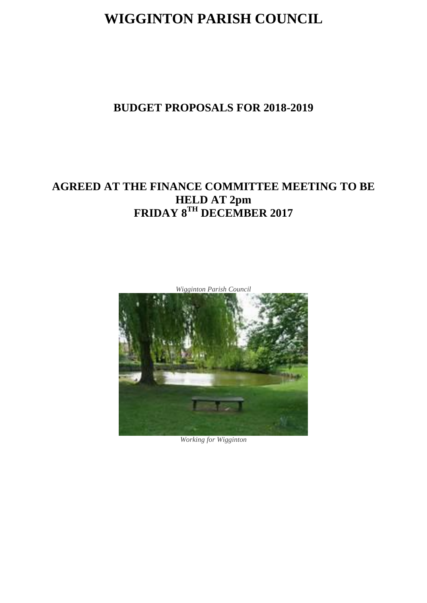# **WIGGINTON PARISH COUNCIL**

## **BUDGET PROPOSALS FOR 2018-2019**

## **AGREED AT THE FINANCE COMMITTEE MEETING TO BE HELD AT 2pm FRIDAY 8TH DECEMBER 2017**



*Working for Wigginton*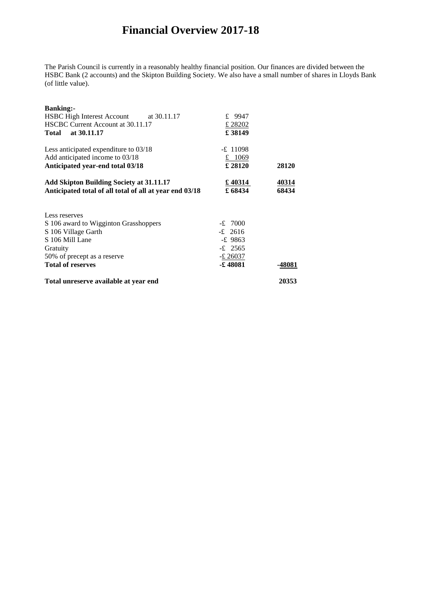## **Financial Overview 2017-18**

The Parish Council is currently in a reasonably healthy financial position. Our finances are divided between the HSBC Bank (2 accounts) and the Skipton Building Society. We also have a small number of shares in Lloyds Bank (of little value).

| 50% of precept as a reserve<br><b>Total of reserves</b>                                                                 | $-£$ 26037<br><b>E</b> 48081    | -48081         |
|-------------------------------------------------------------------------------------------------------------------------|---------------------------------|----------------|
| Gratuity                                                                                                                | $-£$ 2565                       |                |
| S 106 Mill Lane                                                                                                         | $-£$ 9863                       |                |
| S 106 Village Garth                                                                                                     | $-£$ 2616                       |                |
| Less reserves<br>S 106 award to Wigginton Grasshoppers                                                                  | $-£$ 7000                       |                |
| <b>Add Skipton Building Society at 31.11.17</b><br>Anticipated total of all total of all at year end 03/18              | £ 40314<br>£68434               | 40314<br>68434 |
| Less anticipated expenditure to 03/18<br>Add anticipated income to 03/18<br>Anticipated year-end total 03/18            | $-£$ 11098<br>£ 1069<br>£ 28120 | 28120          |
| <b>Banking:-</b><br>HSBC High Interest Account at 30.11.17<br>HSCBC Current Account at 30.11.17<br>at 30.11.17<br>Total | £ 9947<br>£28202<br>£ 38149     |                |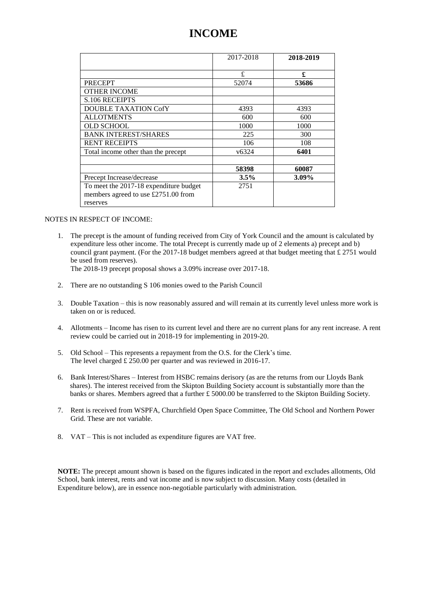## **INCOME**

|                                        | 2017-2018         | 2018-2019 |
|----------------------------------------|-------------------|-----------|
|                                        | £                 | £         |
| <b>PRECEPT</b>                         | 52074             | 53686     |
| <b>OTHER INCOME</b>                    |                   |           |
| <b>S.106 RECEIPTS</b>                  |                   |           |
| <b>DOUBLE TAXATION CofY</b>            | 4393              | 4393      |
| <b>ALLOTMENTS</b>                      | 600               | 600       |
| <b>OLD SCHOOL</b>                      | 1000              | 1000      |
| <b>BANK INTEREST/SHARES</b>            | 225               | 300       |
| <b>RENT RECEIPTS</b>                   | 106               | 108       |
| Total income other than the precept    | v <sub>6324</sub> | 6401      |
|                                        |                   |           |
|                                        | 58398             | 60087     |
| Precept Increase/decrease              | $3.5\%$           | $3.09\%$  |
| To meet the 2017-18 expenditure budget | 2751              |           |
| members agreed to use £2751.00 from    |                   |           |
| reserves                               |                   |           |

#### NOTES IN RESPECT OF INCOME:

1. The precept is the amount of funding received from City of York Council and the amount is calculated by expenditure less other income. The total Precept is currently made up of 2 elements a) precept and b) council grant payment. (For the 2017-18 budget members agreed at that budget meeting that  $\pounds$  2751 would be used from reserves).

The 2018-19 precept proposal shows a 3.09% increase over 2017-18.

- 2. There are no outstanding S 106 monies owed to the Parish Council
- 3. Double Taxation this is now reasonably assured and will remain at its currently level unless more work is taken on or is reduced.
- 4. Allotments Income has risen to its current level and there are no current plans for any rent increase. A rent review could be carried out in 2018-19 for implementing in 2019-20.
- 5. Old School This represents a repayment from the O.S. for the Clerk's time. The level charged £ 250.00 per quarter and was reviewed in 2016-17.
- 6. Bank Interest/Shares Interest from HSBC remains derisory (as are the returns from our Lloyds Bank shares). The interest received from the Skipton Building Society account is substantially more than the banks or shares. Members agreed that a further £ 5000.00 be transferred to the Skipton Building Society.
- 7. Rent is received from WSPFA, Churchfield Open Space Committee, The Old School and Northern Power Grid. These are not variable.
- 8. VAT This is not included as expenditure figures are VAT free.

**NOTE:** The precept amount shown is based on the figures indicated in the report and excludes allotments, Old School, bank interest, rents and vat income and is now subject to discussion. Many costs (detailed in Expenditure below), are in essence non-negotiable particularly with administration.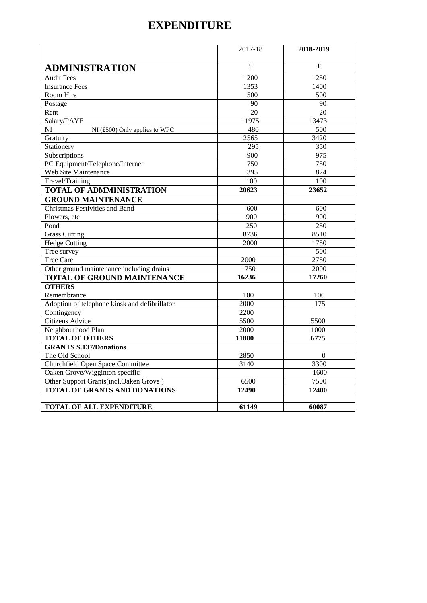## **EXPENDITURE**

|                                               | 2017-18                 | 2018-2019            |
|-----------------------------------------------|-------------------------|----------------------|
| <b>ADMINISTRATION</b>                         | $\overline{\mathbf{f}}$ | $\pmb{\mathfrak{L}}$ |
| <b>Audit Fees</b>                             | 1200                    | 1250                 |
| <b>Insurance Fees</b>                         | 1353                    | 1400                 |
| Room Hire                                     | 500                     | 500                  |
| Postage                                       | 90                      | 90                   |
| Rent                                          | 20                      | 20                   |
| Salary/PAYE                                   | 11975                   | 13473                |
| NI<br>NI (£500) Only applies to WPC           | 480                     | 500                  |
| Gratuity                                      | 2565                    | 3420                 |
| Stationery                                    | $\overline{295}$        | $\overline{350}$     |
| Subscriptions                                 | 900                     | 975                  |
| PC Equipment/Telephone/Internet               | 750                     | 750                  |
| <b>Web Site Maintenance</b>                   | 395                     | 824                  |
| Travel/Training                               | 100                     | 100                  |
| <b>TOTAL OF ADMMINISTRATION</b>               | 20623                   | 23652                |
| <b>GROUND MAINTENANCE</b>                     |                         |                      |
| <b>Christmas Festivities and Band</b>         | $\overline{600}$        | $\overline{600}$     |
| Flowers, etc.                                 | 900                     | 900                  |
| Pond                                          | 250                     | 250                  |
| <b>Grass Cutting</b>                          | 8736                    | 8510                 |
| <b>Hedge Cutting</b>                          | 2000                    | 1750                 |
| Tree survey                                   |                         | $\overline{500}$     |
| <b>Tree Care</b>                              | 2000                    | 2750                 |
| Other ground maintenance including drains     | 1750                    | 2000                 |
| <b>TOTAL OF GROUND MAINTENANCE</b>            | 16236                   | 17260                |
| <b>OTHERS</b>                                 |                         |                      |
| Remembrance                                   | 100                     | 100                  |
| Adoption of telephone kiosk and defibrillator | 2000                    | $\frac{175}{2}$      |
| Contingency                                   | 2200                    |                      |
| <b>Citizens Advice</b>                        | 5500                    | 5500                 |
| Neighbourhood Plan                            | 2000                    | 1000                 |
| <b>TOTAL OF OTHERS</b>                        | 11800                   | 6775                 |
| <b>GRANTS S.137/Donations</b>                 |                         |                      |
| The Old School                                | 2850                    | $\Omega$             |
| Churchfield Open Space Committee              | 3140                    | 3300                 |
| Oaken Grove/Wigginton specific                |                         | 1600                 |
| Other Support Grants(incl.Oaken Grove)        | 6500                    | 7500                 |
| <b>TOTAL OF GRANTS AND DONATIONS</b>          | 12490                   | 12400                |
|                                               |                         |                      |
| <b>TOTAL OF ALL EXPENDITURE</b>               | 61149                   | 60087                |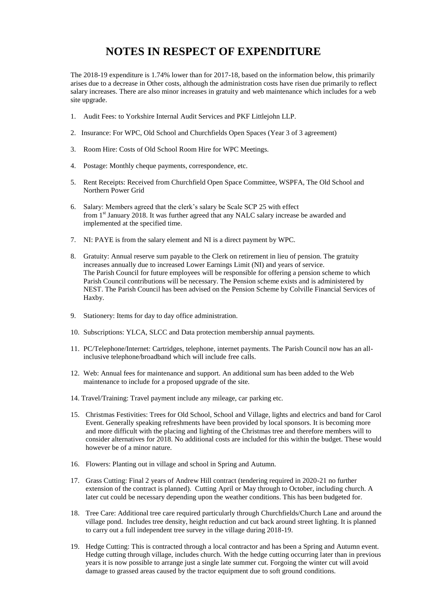## **NOTES IN RESPECT OF EXPENDITURE**

The 2018-19 expenditure is 1.74% lower than for 2017-18, based on the information below, this primarily arises due to a decrease in Other costs, although the administration costs have risen due primarily to reflect salary increases. There are also minor increases in gratuity and web maintenance which includes for a web site upgrade.

- 1. Audit Fees: to Yorkshire Internal Audit Services and PKF Littlejohn LLP.
- 2. Insurance: For WPC, Old School and Churchfields Open Spaces (Year 3 of 3 agreement)
- 3. Room Hire: Costs of Old School Room Hire for WPC Meetings.
- 4. Postage: Monthly cheque payments, correspondence, etc.
- 5. Rent Receipts: Received from Churchfield Open Space Committee, WSPFA, The Old School and Northern Power Grid
- 6. Salary: Members agreed that the clerk's salary be Scale SCP 25 with effect from 1<sup>st</sup> January 2018. It was further agreed that any NALC salary increase be awarded and implemented at the specified time.
- 7. NI: PAYE is from the salary element and NI is a direct payment by WPC.
- 8. Gratuity: Annual reserve sum payable to the Clerk on retirement in lieu of pension. The gratuity increases annually due to increased Lower Earnings Limit (NI) and years of service. The Parish Council for future employees will be responsible for offering a pension scheme to which Parish Council contributions will be necessary. The Pension scheme exists and is administered by NEST. The Parish Council has been advised on the Pension Scheme by Colville Financial Services of Haxby.
- 9. Stationery: Items for day to day office administration.
- 10. Subscriptions: YLCA, SLCC and Data protection membership annual payments.
- 11. PC/Telephone/Internet: Cartridges, telephone, internet payments. The Parish Council now has an allinclusive telephone/broadband which will include free calls.
- 12. Web: Annual fees for maintenance and support. An additional sum has been added to the Web maintenance to include for a proposed upgrade of the site.
- 14. Travel/Training: Travel payment include any mileage, car parking etc.
- 15. Christmas Festivities: Trees for Old School, School and Village, lights and electrics and band for Carol Event. Generally speaking refreshments have been provided by local sponsors. It is becoming more and more difficult with the placing and lighting of the Christmas tree and therefore members will to consider alternatives for 2018. No additional costs are included for this within the budget. These would however be of a minor nature.
- 16. Flowers: Planting out in village and school in Spring and Autumn.
- 17. Grass Cutting: Final 2 years of Andrew Hill contract (tendering required in 2020-21 no further extension of the contract is planned). Cutting April or May through to October, including church. A later cut could be necessary depending upon the weather conditions. This has been budgeted for.
- 18. Tree Care: Additional tree care required particularly through Churchfields/Church Lane and around the village pond. Includes tree density, height reduction and cut back around street lighting. It is planned to carry out a full independent tree survey in the village during 2018-19.
- 19. Hedge Cutting: This is contracted through a local contractor and has been a Spring and Autumn event. Hedge cutting through village, includes church. With the hedge cutting occurring later than in previous years it is now possible to arrange just a single late summer cut. Forgoing the winter cut will avoid damage to grassed areas caused by the tractor equipment due to soft ground conditions.